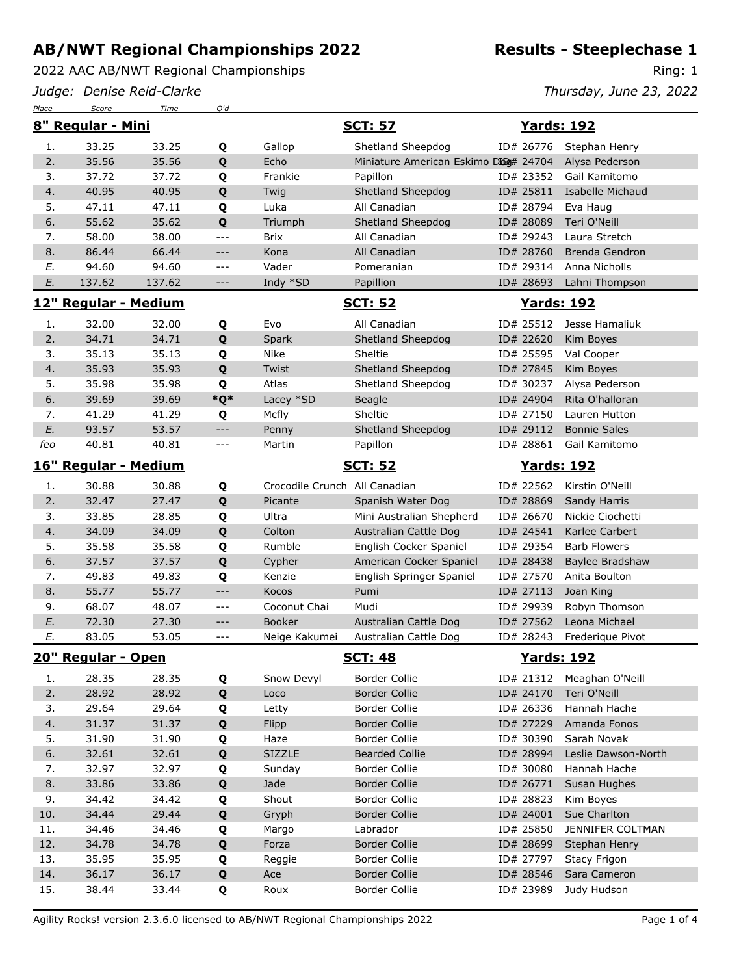2022 AAC AB/NWT Regional Championships

*Judge: Denise Reid-Clarke*

*Place Score Time Q'd*

Ring: 1

*Thursday, June 23, 2022*

|     | 8" Regular - Mini    |        |                     | <b>SCT: 57</b>                |                                       |  | <b>Yards: 192</b>  |                       |  |  |
|-----|----------------------|--------|---------------------|-------------------------------|---------------------------------------|--|--------------------|-----------------------|--|--|
| 1.  | 33.25                | 33.25  | Q                   | Gallop                        | Shetland Sheepdog                     |  | ID# 26776          | Stephan Henry         |  |  |
| 2.  | 35.56                | 35.56  | Q                   | Echo                          | Miniature American Eskimo Dbog# 24704 |  |                    | Alysa Pederson        |  |  |
| 3.  | 37.72                | 37.72  | Q                   | Frankie                       | Papillon                              |  | ID# 23352          | Gail Kamitomo         |  |  |
| 4.  | 40.95                | 40.95  | Q                   | Twig                          | Shetland Sheepdog                     |  | ID# 25811          | Isabelle Michaud      |  |  |
| 5.  | 47.11                | 47.11  | Q                   | Luka                          | All Canadian                          |  | ID# 28794          | Eva Haug              |  |  |
| 6.  | 55.62                | 35.62  | Q                   | Triumph                       | Shetland Sheepdog                     |  | ID# 28089          | Teri O'Neill          |  |  |
| 7.  | 58.00                | 38.00  | $---$               | <b>Brix</b>                   | All Canadian                          |  | ID# 29243          | Laura Stretch         |  |  |
| 8.  | 86.44                | 66.44  | $---$               | Kona                          | All Canadian                          |  | ID# 28760          | <b>Brenda Gendron</b> |  |  |
| E.  | 94.60                | 94.60  | $- - -$             | Vader                         | Pomeranian                            |  | ID# 29314          | Anna Nicholls         |  |  |
| E.  | 137.62               | 137.62 | $\qquad \qquad - -$ | Indy *SD                      | Papillion                             |  | ID# 28693          | Lahni Thompson        |  |  |
|     | 12" Regular - Medium |        |                     |                               | <b>SCT: 52</b>                        |  |                    | <b>Yards: 192</b>     |  |  |
| 1.  | 32.00                | 32.00  | Q                   | Evo                           | All Canadian                          |  | ID# 25512          | Jesse Hamaliuk        |  |  |
| 2.  | 34.71                | 34.71  | Q                   | Spark                         | Shetland Sheepdog                     |  | ID# 22620          | Kim Boyes             |  |  |
| 3.  | 35.13                | 35.13  | Q                   | Nike                          | Sheltie                               |  | ID# 25595          | Val Cooper            |  |  |
| 4.  | 35.93                | 35.93  | Q                   | Twist                         | Shetland Sheepdog                     |  | ID# 27845          | Kim Boyes             |  |  |
| 5.  | 35.98                | 35.98  | Q                   | Atlas                         | Shetland Sheepdog                     |  | ID# 30237          | Alysa Pederson        |  |  |
| 6.  | 39.69                | 39.69  | $*Q*$               | Lacey *SD                     | Beagle                                |  | ID# 24904          | Rita O'halloran       |  |  |
| 7.  | 41.29                | 41.29  | Q                   | Mcfly                         | Sheltie                               |  | ID# 27150          | Lauren Hutton         |  |  |
| E.  | 93.57                | 53.57  | $---$               | Penny                         | Shetland Sheepdog                     |  | ID# 29112          | <b>Bonnie Sales</b>   |  |  |
| feo | 40.81                | 40.81  | ---                 | Martin                        | Papillon                              |  | ID# 28861          | Gail Kamitomo         |  |  |
|     |                      |        |                     |                               |                                       |  |                    |                       |  |  |
|     | 16" Regular - Medium |        |                     |                               | <b>SCT: 52</b>                        |  | <b>Yards: 192</b>  |                       |  |  |
| 1.  | 30.88                | 30.88  | Q                   | Crocodile Crunch All Canadian |                                       |  | ID# 22562          | Kirstin O'Neill       |  |  |
| 2.  | 32.47                | 27.47  | Q                   | Picante                       | Spanish Water Dog                     |  | ID# 28869          | Sandy Harris          |  |  |
| 3.  | 33.85                | 28.85  | Q                   | Ultra                         | Mini Australian Shepherd              |  | ID# 26670          | Nickie Ciochetti      |  |  |
| 4.  | 34.09                | 34.09  | Q                   | Colton                        | Australian Cattle Dog                 |  | ID# 24541          | Karlee Carbert        |  |  |
| 5.  | 35.58                | 35.58  | Q                   | Rumble                        | English Cocker Spaniel                |  | ID# 29354          | <b>Barb Flowers</b>   |  |  |
| 6.  | 37.57                | 37.57  | Q                   | Cypher                        | American Cocker Spaniel               |  | ID# 28438          | Baylee Bradshaw       |  |  |
| 7.  | 49.83                | 49.83  | Q                   | Kenzie                        | English Springer Spaniel              |  | ID# 27570          | Anita Boulton         |  |  |
| 8.  | 55.77                | 55.77  | $---$               | Kocos                         | Pumi                                  |  | ID# 27113          | Joan King             |  |  |
| 9.  | 68.07                | 48.07  | $---$               | Coconut Chai                  | Mudi                                  |  | ID# 29939          | Robyn Thomson         |  |  |
| E.  | 72.30                | 27.30  | $---$               | <b>Booker</b>                 | Australian Cattle Dog                 |  | ID# 27562          | Leona Michael         |  |  |
| Е.  | 83.05                | 53.05  | $---$               | Neige Kakumei                 | Australian Cattle Dog                 |  | ID# 28243          | Frederique Pivot      |  |  |
|     | 20" Regular - Open   |        |                     |                               | <b>SCT: 48</b>                        |  | <u> Yards: 192</u> |                       |  |  |
| 1.  | 28.35                | 28.35  | Q                   | Snow Devyl                    | <b>Border Collie</b>                  |  | ID# 21312          | Meaghan O'Neill       |  |  |
| 2.  | 28.92                | 28.92  | Q                   | Loco                          | <b>Border Collie</b>                  |  | ID# 24170          | Teri O'Neill          |  |  |
| 3.  | 29.64                | 29.64  | Q                   | Letty                         | Border Collie                         |  | ID# 26336          | Hannah Hache          |  |  |
| 4.  | 31.37                | 31.37  | Q                   | Flipp                         | <b>Border Collie</b>                  |  | ID# 27229          | Amanda Fonos          |  |  |
| 5.  | 31.90                | 31.90  | Q                   | Haze                          | Border Collie                         |  | ID# 30390          | Sarah Novak           |  |  |
| 6.  | 32.61                | 32.61  | Q                   | <b>SIZZLE</b>                 | <b>Bearded Collie</b>                 |  | ID# 28994          | Leslie Dawson-North   |  |  |
| 7.  | 32.97                | 32.97  | Q                   | Sunday                        | Border Collie                         |  | ID# 30080          | Hannah Hache          |  |  |
| 8.  | 33.86                | 33.86  | Q                   | Jade                          | <b>Border Collie</b>                  |  | ID# 26771          | Susan Hughes          |  |  |
| 9.  | 34.42                | 34.42  | Q                   | Shout                         | <b>Border Collie</b>                  |  | ID# 28823          | Kim Boyes             |  |  |
| 10. | 34.44                | 29.44  | Q                   | Gryph                         | <b>Border Collie</b>                  |  | ID# 24001          | Sue Charlton          |  |  |
| 11. | 34.46                | 34.46  | Q                   | Margo                         | Labrador                              |  | ID# 25850          | JENNIFER COLTMAN      |  |  |
| 12. | 34.78                | 34.78  | Q                   | Forza                         | <b>Border Collie</b>                  |  | ID# 28699          | Stephan Henry         |  |  |
| 13. | 35.95                | 35.95  | Q                   | Reggie                        | Border Collie                         |  | ID# 27797          | <b>Stacy Frigon</b>   |  |  |
| 14. | 36.17                | 36.17  | Q                   | Ace                           | <b>Border Collie</b>                  |  | ID# 28546          | Sara Cameron          |  |  |
| 15. | 38.44                | 33.44  | Q                   | Roux                          | Border Collie                         |  |                    | ID# 23989 Judy Hudson |  |  |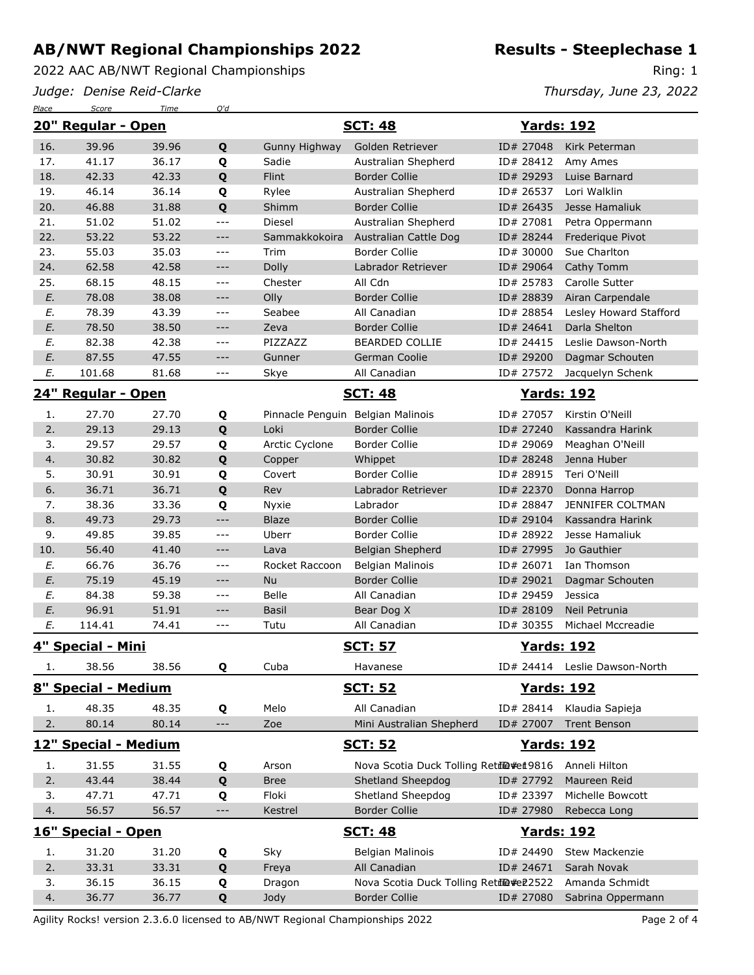2022 AAC AB/NWT Regional Championships

*Judge: Denise Reid-Clarke*

*Place Score Time Q'd*

**Results - Steeplechase 1**

Ring: 1

*Thursday, June 23, 2022*

|                     | 20" Regular - Open   |                |                     | <b>SCT: 48</b>                    |                                         |                   | <b>Yards: 192</b>             |  |
|---------------------|----------------------|----------------|---------------------|-----------------------------------|-----------------------------------------|-------------------|-------------------------------|--|
| 16.                 | 39.96                | 39.96          | Q                   | Gunny Highway                     | Golden Retriever                        | ID# 27048         | Kirk Peterman                 |  |
| 17.                 | 41.17                | 36.17          | Q                   | Sadie                             | Australian Shepherd                     | ID# 28412         | Amy Ames                      |  |
| 18.                 | 42.33                | 42.33          | Q                   | Flint                             | <b>Border Collie</b>                    | ID# 29293         | Luise Barnard                 |  |
| 19.                 | 46.14                | 36.14          | Q                   | Rylee                             | Australian Shepherd                     | ID# 26537         | Lori Walklin                  |  |
| 20.                 | 46.88                | 31.88          | Q                   | Shimm                             | <b>Border Collie</b>                    | ID# 26435         | Jesse Hamaliuk                |  |
| 21.                 | 51.02                | 51.02          | $\frac{1}{2}$       | Diesel                            | Australian Shepherd                     | ID# 27081         | Petra Oppermann               |  |
| 22.                 | 53.22                | 53.22          | $---$               | Sammakkokoira                     | Australian Cattle Dog                   | ID# 28244         | Frederique Pivot              |  |
| 23.                 | 55.03                | 35.03          | $ -$                | Trim                              | <b>Border Collie</b>                    | ID# 30000         | Sue Charlton                  |  |
| 24.                 | 62.58                | 42.58          | $---$               | Dolly                             | Labrador Retriever                      | ID# 29064         | Cathy Tomm                    |  |
| 25.                 | 68.15                | 48.15          | $ -$                | Chester                           | All Cdn                                 | ID# 25783         | Carolle Sutter                |  |
| E.                  | 78.08                | 38.08          | $---$               | Olly                              | <b>Border Collie</b>                    | ID# 28839         | Airan Carpendale              |  |
| E.                  | 78.39                | 43.39          | ---                 | Seabee                            | All Canadian                            | ID# 28854         | Lesley Howard Stafford        |  |
| E.                  | 78.50                | 38.50          | $---$               | Zeva                              | <b>Border Collie</b>                    | ID# 24641         | Darla Shelton                 |  |
| E.                  | 82.38                | 42.38          | $ -$                | PIZZAZZ                           | <b>BEARDED COLLIE</b>                   | ID# 24415         | Leslie Dawson-North           |  |
| E.                  | 87.55                | 47.55          | $---$               | Gunner                            | German Coolie                           | ID# 29200         | Dagmar Schouten               |  |
| E.                  | 101.68               | 81.68          | $ -$                | Skye                              | All Canadian                            | ID# 27572         | Jacquelyn Schenk              |  |
|                     | 24" Regular - Open   |                |                     |                                   | <b>SCT: 48</b>                          | <b>Yards: 192</b> |                               |  |
| 1.                  | 27.70                | 27.70          | Q                   | Pinnacle Penguin Belgian Malinois |                                         | ID# 27057         | Kirstin O'Neill               |  |
| 2.                  | 29.13                | 29.13          | Q                   | Loki                              | <b>Border Collie</b>                    | ID# 27240         | Kassandra Harink              |  |
| 3.                  | 29.57                | 29.57          | Q                   | Arctic Cyclone                    | <b>Border Collie</b>                    | ID# 29069         | Meaghan O'Neill               |  |
| 4.                  | 30.82                | 30.82          | Q                   | Copper                            | Whippet                                 | ID# 28248         | Jenna Huber                   |  |
| 5.                  | 30.91                | 30.91          | Q                   | Covert                            | <b>Border Collie</b>                    | ID# 28915         | Teri O'Neill                  |  |
| 6.                  | 36.71                | 36.71          | Q                   | Rev                               | Labrador Retriever                      | ID# 22370         | Donna Harrop                  |  |
| 7.                  | 38.36                | 33.36          | Q                   | Nyxie                             | Labrador                                | ID# 28847         | JENNIFER COLTMAN              |  |
| 8.                  | 49.73                | 29.73          | $---$               | <b>Blaze</b>                      | <b>Border Collie</b>                    | ID# 29104         | Kassandra Harink              |  |
| 9.                  | 49.85                | 39.85          | $- - -$             | Uberr                             | <b>Border Collie</b>                    | ID# 28922         | Jesse Hamaliuk                |  |
| 10.                 | 56.40                | 41.40          | $---$               | Lava                              | Belgian Shepherd                        | ID# 27995         | Jo Gauthier                   |  |
| E.                  | 66.76                | 36.76          | $---$               | Rocket Raccoon                    | Belgian Malinois                        | ID# 26071         | Ian Thomson                   |  |
| E.                  | 75.19                | 45.19          | $---$               | Nu                                | <b>Border Collie</b>                    | ID# 29021         | Dagmar Schouten               |  |
| E.                  | 84.38                | 59.38          | $---$               | Belle                             | All Canadian                            | ID# 29459         | Jessica                       |  |
| E.                  | 96.91                | 51.91          | $---$               | <b>Basil</b>                      | Bear Dog X                              | ID# 28109         | Neil Petrunia                 |  |
| E.                  | 114.41               | 74.41          | $ -$                | Tutu                              | All Canadian                            | ID# 30355         | Michael Mccreadie             |  |
|                     | 4" Special - Mini    |                |                     |                                   | <b>SCT: 57</b>                          | <b>Yards: 192</b> |                               |  |
| ı.                  | 38.56                | 38.56          | Q                   | Cuba                              | Havanese                                |                   | ID# 24414 Leslie Dawson-North |  |
| 8" Special - Medium |                      |                |                     |                                   | <b>SCT: 52</b>                          | <b>Yards: 192</b> |                               |  |
| 1.                  | 48.35                | 48.35          | Q                   | Melo                              | All Canadian                            | ID# 28414         | Klaudia Sapieja               |  |
| 2.                  | 80.14                | 80.14          | $\qquad \qquad - -$ | Zoe                               | Mini Australian Shepherd                | ID# 27007         | <b>Trent Benson</b>           |  |
|                     | 12" Special - Medium |                |                     |                                   | <u>SCT: 52</u>                          | <u>Yards: 192</u> |                               |  |
| 1.                  | 31.55                | 31.55          | Q                   | Arson                             | Nova Scotia Duck Tolling Retil@#eit9816 |                   | Anneli Hilton                 |  |
| 2.                  | 43.44                | 38.44          | Q                   | <b>Bree</b>                       | Shetland Sheepdog                       | ID# 27792         | Maureen Reid                  |  |
| 3.                  | 47.71                | 47.71          | Q                   | Floki                             | Shetland Sheepdog                       | ID# 23397         | Michelle Bowcott              |  |
| 4.                  | 56.57                | 56.57          | $---$               | Kestrel                           | <b>Border Collie</b>                    | ID# 27980         | Rebecca Long                  |  |
|                     | 16" Special - Open   |                |                     |                                   | <b>SCT: 48</b>                          | <u>Yards: 192</u> |                               |  |
|                     |                      |                |                     |                                   |                                         |                   | <b>Stew Mackenzie</b>         |  |
| 1.                  | 31.20<br>33.31       | 31.20<br>33.31 | Q                   | Sky                               | <b>Belgian Malinois</b><br>All Canadian | ID# 24490         | Sarah Novak                   |  |
| 2.<br>3.            | 36.15                | 36.15          | Q                   | Freya                             | Nova Scotia Duck Tolling Retile#e22522  | ID# 24671         | Amanda Schmidt                |  |
| 4.                  | 36.77                | 36.77          | Q<br>Q              | Dragon<br>Jody                    | <b>Border Collie</b>                    | ID# 27080         | Sabrina Oppermann             |  |
|                     |                      |                |                     |                                   |                                         |                   |                               |  |

Agility Rocks! version 2.3.6.0 licensed to AB/NWT Regional Championships 2022 Page 2 of 4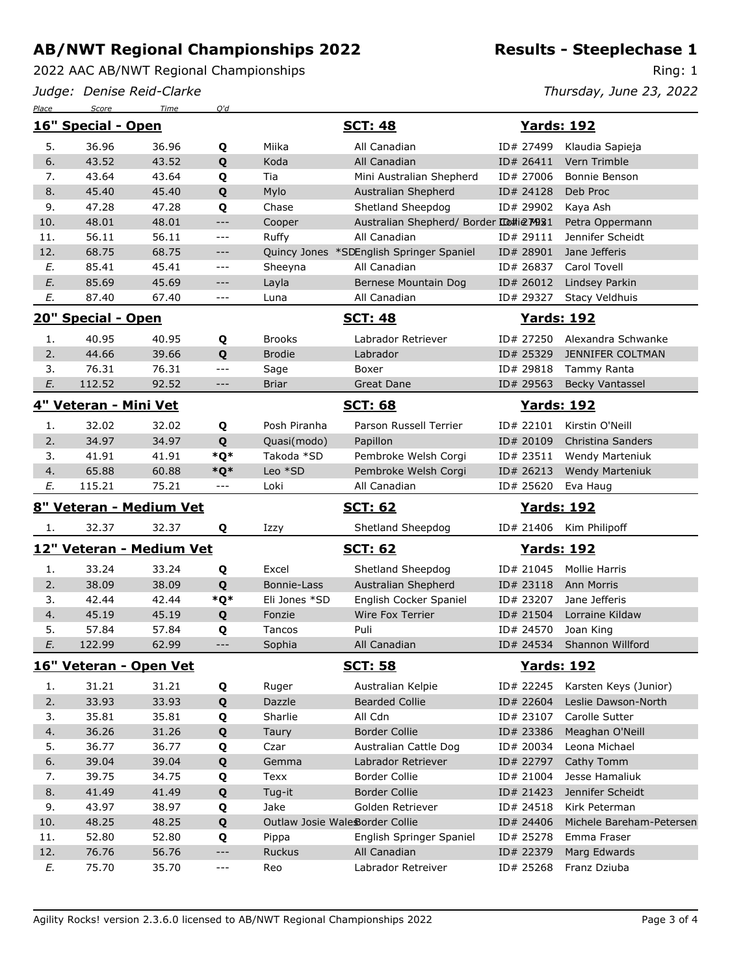2022 AAC AB/NWT Regional Championships

*Judge: Denise Reid-Clarke*

*Place Score Time Q'd*

Ring: 1

*Thursday, June 23, 2022*

|                         | 16" Special - Open       |                |                     | <b>SCT: 48</b> |                                               | <b>Yards: 192</b> |                          |  |
|-------------------------|--------------------------|----------------|---------------------|----------------|-----------------------------------------------|-------------------|--------------------------|--|
| 5.                      | 36.96                    | 36.96          | Q                   | Miika          | All Canadian                                  | ID# 27499         | Klaudia Sapieja          |  |
| 6.                      | 43.52                    | 43.52          | Q                   | Koda           | All Canadian                                  | ID# 26411         | Vern Trimble             |  |
| 7.                      | 43.64                    | 43.64          | Q                   | Tia            | Mini Australian Shepherd                      | ID# 27006         | Bonnie Benson            |  |
| 8.                      | 45.40                    | 45.40          | Q                   | Mylo           | Australian Shepherd                           | ID# 24128         | Deb Proc                 |  |
| 9.                      | 47.28                    | 47.28          | Q                   | Chase          | Shetland Sheepdog                             | ID# 29902         | Kaya Ash                 |  |
| 10.                     | 48.01                    | 48.01          | $---$               | Cooper         | Australian Shepherd/ Border Lo#ie M981        |                   | Petra Oppermann          |  |
| 11.                     | 56.11                    | 56.11          | $---$               | Ruffy          | All Canadian                                  | ID# 29111         | Jennifer Scheidt         |  |
| 12.                     | 68.75                    | 68.75          | $---$               |                | Quincy Jones *SDEnglish Springer Spaniel      | ID# 28901         | Jane Jefferis            |  |
| Ε.                      | 85.41                    | 45.41          | $\qquad \qquad - -$ | Sheeyna        | All Canadian                                  | ID# 26837         | Carol Tovell             |  |
| E.                      | 85.69                    | 45.69          | $---$               | Layla          | Bernese Mountain Dog                          | ID# 26012         | Lindsey Parkin           |  |
| E.                      | 87.40                    | 67.40          | ---                 | Luna           | All Canadian                                  | ID# 29327         | Stacy Veldhuis           |  |
| 20" Special - Open      |                          |                |                     |                | <b>SCT: 48</b>                                |                   | <b>Yards: 192</b>        |  |
| 1.                      | 40.95                    | 40.95          | Q                   | <b>Brooks</b>  | Labrador Retriever                            | ID# 27250         | Alexandra Schwanke       |  |
| 2.                      | 44.66                    | 39.66          | Q                   | <b>Brodie</b>  | Labrador                                      | ID# 25329         | <b>JENNIFER COLTMAN</b>  |  |
| 3.                      | 76.31                    | 76.31          | $---$               | Sage           | Boxer                                         | ID# 29818         | Tammy Ranta              |  |
| E.                      | 112.52                   | 92.52          | $---$               | <b>Briar</b>   | <b>Great Dane</b>                             | ID# 29563         | <b>Becky Vantassel</b>   |  |
|                         | 4" Veteran - Mini Vet    |                |                     |                | <b>SCT: 68</b>                                |                   | <b>Yards: 192</b>        |  |
| 1.                      | 32.02                    | 32.02          | Q                   | Posh Piranha   | Parson Russell Terrier                        | ID# 22101         | Kirstin O'Neill          |  |
| 2.                      | 34.97                    | 34.97          | Q                   | Quasi(modo)    | Papillon                                      | ID# 20109         | Christina Sanders        |  |
| 3.                      | 41.91                    | 41.91          | *Q*                 | Takoda *SD     | Pembroke Welsh Corgi                          | ID# 23511         | Wendy Marteniuk          |  |
| 4.                      | 65.88                    | 60.88          | $*Q*$               | Leo *SD        | Pembroke Welsh Corgi                          | ID# 26213         | <b>Wendy Marteniuk</b>   |  |
| Е.                      | 115.21                   | 75.21          | $- - -$             | Loki           | All Canadian                                  | ID# 25620         | Eva Haug                 |  |
| 8" Veteran - Medium Vet |                          |                |                     |                | <b>SCT: 62</b>                                |                   | <b>Yards: 192</b>        |  |
| 1.                      | 32.37                    | 32.37          | Q                   | Izzy           | Shetland Sheepdog                             |                   | ID# 21406 Kim Philipoff  |  |
|                         | 12" Veteran - Medium Vet |                |                     |                | <b>SCT: 62</b>                                |                   | <b>Yards: 192</b>        |  |
|                         |                          |                |                     |                |                                               |                   |                          |  |
| 1.                      | 33.24                    | 33.24          |                     | Excel          |                                               | ID# 21045         | Mollie Harris            |  |
| 2.                      | 38.09                    | 38.09          | Q                   | Bonnie-Lass    | Shetland Sheepdog                             |                   | ID# 23118 Ann Morris     |  |
| 3.                      | 42.44                    | 42.44          | Q                   | Eli Jones *SD  | Australian Shepherd<br>English Cocker Spaniel | ID# 23207         | Jane Jefferis            |  |
|                         | 45.19                    |                | *Q*                 | Fonzie         | Wire Fox Terrier                              | ID# 21504         | Lorraine Kildaw          |  |
| 4.<br>5.                | 57.84                    | 45.19<br>57.84 | Q                   | Tancos         | Puli                                          | ID# 24570         | Joan King                |  |
| E.                      | 122.99                   | 62.99          | Q<br>$---$          | Sophia         | All Canadian                                  | ID# 24534         | Shannon Willford         |  |
|                         | 16" Veteran - Open Vet   |                |                     |                | <u>SCT: 58</u>                                |                   | <b>Yards: 192</b>        |  |
| 1.                      | 31.21                    | 31.21          |                     | Ruger          | Australian Kelpie                             | ID# 22245         | Karsten Keys (Junior)    |  |
|                         | 33.93                    |                | Q                   | Dazzle         | <b>Bearded Collie</b>                         | ID# 22604         | Leslie Dawson-North      |  |
| 2.<br>3.                | 35.81                    | 33.93<br>35.81 | Q                   | Sharlie        | All Cdn                                       | ID# 23107         | Carolle Sutter           |  |
| 4.                      | 36.26                    | 31.26          | Q                   | Taury          | <b>Border Collie</b>                          | ID# 23386         | Meaghan O'Neill          |  |
| 5.                      | 36.77                    | 36.77          | Q                   | Czar           | Australian Cattle Dog                         | ID# 20034         | Leona Michael            |  |
| 6.                      | 39.04                    | 39.04          | Q<br>Q              | Gemma          | Labrador Retriever                            | ID# 22797         | Cathy Tomm               |  |
| 7.                      | 39.75                    | 34.75          |                     | Texx           | <b>Border Collie</b>                          | ID# 21004         | Jesse Hamaliuk           |  |
| 8.                      | 41.49                    | 41.49          | Q                   | Tug-it         | <b>Border Collie</b>                          | ID# 21423         | Jennifer Scheidt         |  |
| 9.                      | 43.97                    | 38.97          | Q                   | Jake           | Golden Retriever                              | ID# 24518         | Kirk Peterman            |  |
| 10.                     | 48.25                    | 48.25          | Q<br>Q              |                | Outlaw Josie Wale Border Collie               | ID# 24406         | Michele Bareham-Petersen |  |
| 11.                     | 52.80                    | 52.80          | Q                   | Pippa          | English Springer Spaniel                      | ID# 25278         | Emma Fraser              |  |
| 12.                     | 76.76                    | 56.76          | $---$               | Ruckus         | All Canadian                                  | ID# 22379         | Marg Edwards             |  |